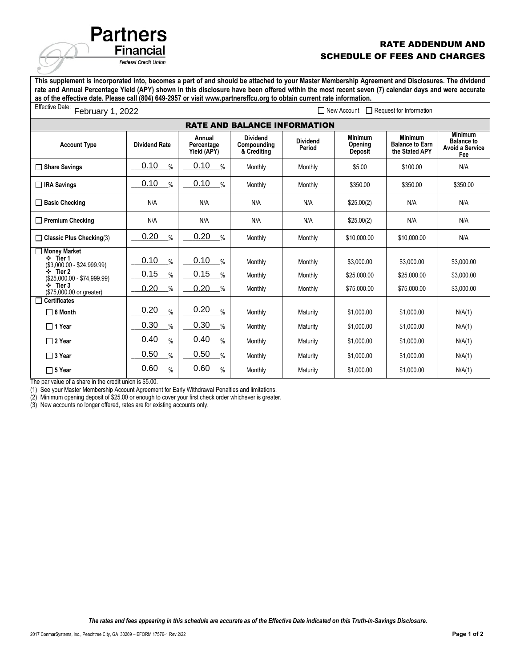## RATE ADDENDUM AND SCHEDULE OF FEES AND CHARGES

**This supplement is incorporated into, becomes a part of and should be attached to your Master Membership Agreement and Disclosures. The dividend rate and Annual Percentage Yield (APY) shown in this disclosure have been offered within the most recent seven (7) calendar days and were accurate as of the effective date. Please call (804) 649-2957 or visit www.partnersffcu.org to obtain current rate information.**

| Effective Date:<br>February 1, 2022                                                                                                                  |                                                 |                                                                |                                               | $\Box$ New Account<br>Request for Information |                                          |                                                            |                                                                      |  |
|------------------------------------------------------------------------------------------------------------------------------------------------------|-------------------------------------------------|----------------------------------------------------------------|-----------------------------------------------|-----------------------------------------------|------------------------------------------|------------------------------------------------------------|----------------------------------------------------------------------|--|
| <b>RATE AND BALANCE INFORMATION</b>                                                                                                                  |                                                 |                                                                |                                               |                                               |                                          |                                                            |                                                                      |  |
| <b>Account Type</b>                                                                                                                                  | <b>Dividend Rate</b>                            | Annual<br>Percentage<br>Yield (APY)                            | <b>Dividend</b><br>Compounding<br>& Crediting | <b>Dividend</b><br>Period                     | <b>Minimum</b><br>Opening<br>Deposit     | <b>Minimum</b><br><b>Balance to Earn</b><br>the Stated APY | <b>Minimum</b><br><b>Balance to</b><br><b>Avoid a Service</b><br>Fee |  |
| $\Box$ Share Savings                                                                                                                                 | 0.10<br>$\%$                                    | 0.10<br>$\frac{0}{0}$                                          | Monthly                                       | Monthly                                       | \$5.00                                   | \$100.00                                                   | N/A                                                                  |  |
| $\Box$ IRA Savings                                                                                                                                   | 0.10<br>$\frac{9}{6}$                           | 0.10<br>$\frac{0}{0}$                                          | Monthly                                       | Monthly                                       | \$350.00                                 | \$350.00                                                   | \$350.00                                                             |  |
| $\Box$ Basic Checking                                                                                                                                | N/A                                             | N/A                                                            | N/A                                           | N/A                                           | \$25.00(2)                               | N/A                                                        | N/A                                                                  |  |
| $\Box$ Premium Checking                                                                                                                              | N/A                                             | N/A                                                            | N/A                                           | N/A                                           | \$25.00(2)                               | N/A                                                        | N/A                                                                  |  |
| $\Box$ Classic Plus Checking(3)                                                                                                                      | 0.20<br>$\%$                                    | 0.20<br>$\frac{0}{0}$                                          | Monthly                                       | Monthly                                       | \$10,000.00                              | \$10,000.00                                                | N/A                                                                  |  |
| Money Market<br>❖ Tier 1<br>$($3,000.00 - $24,999.99)$<br>$\cdot$ Tier 2<br>(\$25,000.00 - \$74,999.99)<br>$\div$ Tier 3<br>(\$75,000.00 or greater) | 0.10<br>$\frac{9}{6}$<br>0.15<br>%<br>0.20<br>% | 0.10<br>$\frac{0}{0}$<br>0.15<br>$\frac{0}{0}$<br>0.20<br>$\%$ | Monthly<br>Monthly<br>Monthly                 | Monthly<br>Monthly<br>Monthly                 | \$3,000.00<br>\$25,000.00<br>\$75,000.00 | \$3.000.00<br>\$25,000.00<br>\$75,000.00                   | \$3,000.00<br>\$3.000.00<br>\$3,000.00                               |  |
| $\Box$ Certificates<br>$\Box$ 6 Month                                                                                                                | 0.20<br>$\frac{0}{0}$                           | 0.20<br>$\frac{0}{0}$                                          | Monthly                                       | Maturity                                      | \$1,000.00                               | \$1.000.00                                                 | N/A(1)                                                               |  |
| $\Box$ 1 Year                                                                                                                                        | 0.30<br>$\%$                                    | 0.30<br>$\frac{0}{0}$                                          | Monthly                                       | Maturity                                      | \$1.000.00                               | \$1.000.00                                                 | N/A(1)                                                               |  |
| $\Box$ 2 Year                                                                                                                                        | 0.40<br>$\%$                                    | 0.40<br>$\frac{0}{0}$                                          | Monthly                                       | Maturity                                      | \$1.000.00                               | \$1.000.00                                                 | N/A(1)                                                               |  |
| $\Box$ 3 Year                                                                                                                                        | 0.50<br>$\%$                                    | 0.50<br>$\frac{0}{0}$                                          | Monthly                                       | Maturity                                      | \$1.000.00                               | \$1.000.00                                                 | N/A(1)                                                               |  |
| $\Box$ 5 Year                                                                                                                                        | 0.60<br>%                                       | 0.60<br>$\frac{0}{0}$                                          | Monthly                                       | Maturity                                      | \$1,000.00                               | \$1.000.00                                                 | N/A(1)                                                               |  |

The par value of a share in the credit union is \$5.00.

(1) See your Master Membership Account Agreement for Early Withdrawal Penalties and limitations.

(2) Minimum opening deposit of \$25.00 or enough to cover your first check order whichever is greater.

(3) New accounts no longer offered, rates are for existing accounts only.

**Partners** 

**Financial** Federal Credit Union